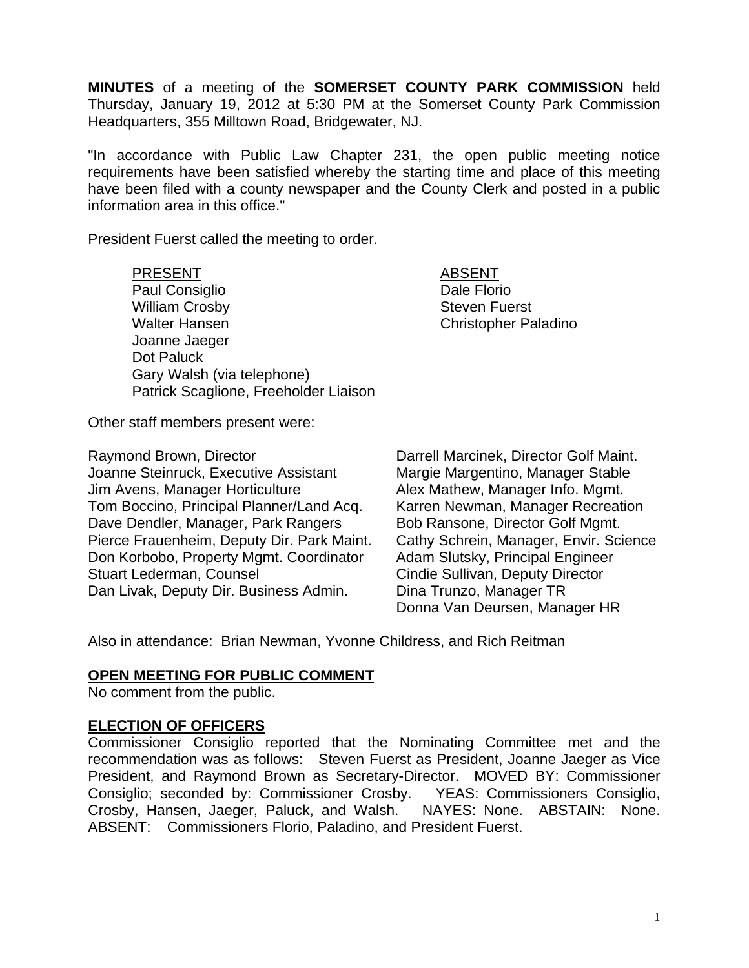**MINUTES** of a meeting of the **SOMERSET COUNTY PARK COMMISSION** held Thursday, January 19, 2012 at 5:30 PM at the Somerset County Park Commission Headquarters, 355 Milltown Road, Bridgewater, NJ.

"In accordance with Public Law Chapter 231, the open public meeting notice requirements have been satisfied whereby the starting time and place of this meeting have been filed with a county newspaper and the County Clerk and posted in a public information area in this office."

President Fuerst called the meeting to order.

PRESENT ABSENT Paul Consiglio **Dale Florio** Dale Florio William Crosby **Steven Fuerst** Walter Hansen Christopher Paladino Joanne Jaeger Dot Paluck Gary Walsh (via telephone) Patrick Scaglione, Freeholder Liaison

Other staff members present were:

Raymond Brown, Director **Darrell Marcinek, Director Golf Maint.** Joanne Steinruck, Executive Assistant Margie Margentino, Manager Stable Jim Avens, Manager Horticulture **Alex Mathew, Manager Info. Mgmt.** Tom Boccino, Principal Planner/Land Acq. Karren Newman, Manager Recreation Dave Dendler, Manager, Park Rangers Bob Ransone, Director Golf Mgmt. Pierce Frauenheim, Deputy Dir. Park Maint. Cathy Schrein, Manager, Envir. Science Don Korbobo, Property Mgmt. Coordinator Adam Slutsky, Principal Engineer Stuart Lederman, Counsel **Conserverse Constant Conserverse Cindie Sullivan, Deputy Director** Dan Livak, Deputy Dir. Business Admin. Dina Trunzo, Manager TR

Donna Van Deursen, Manager HR

Also in attendance: Brian Newman, Yvonne Childress, and Rich Reitman

### **OPEN MEETING FOR PUBLIC COMMENT**

No comment from the public.

### **ELECTION OF OFFICERS**

Commissioner Consiglio reported that the Nominating Committee met and the recommendation was as follows: Steven Fuerst as President, Joanne Jaeger as Vice President, and Raymond Brown as Secretary-Director. MOVED BY: Commissioner Consiglio; seconded by: Commissioner Crosby. YEAS: Commissioners Consiglio, Crosby, Hansen, Jaeger, Paluck, and Walsh. NAYES: None. ABSTAIN: None. ABSENT: Commissioners Florio, Paladino, and President Fuerst.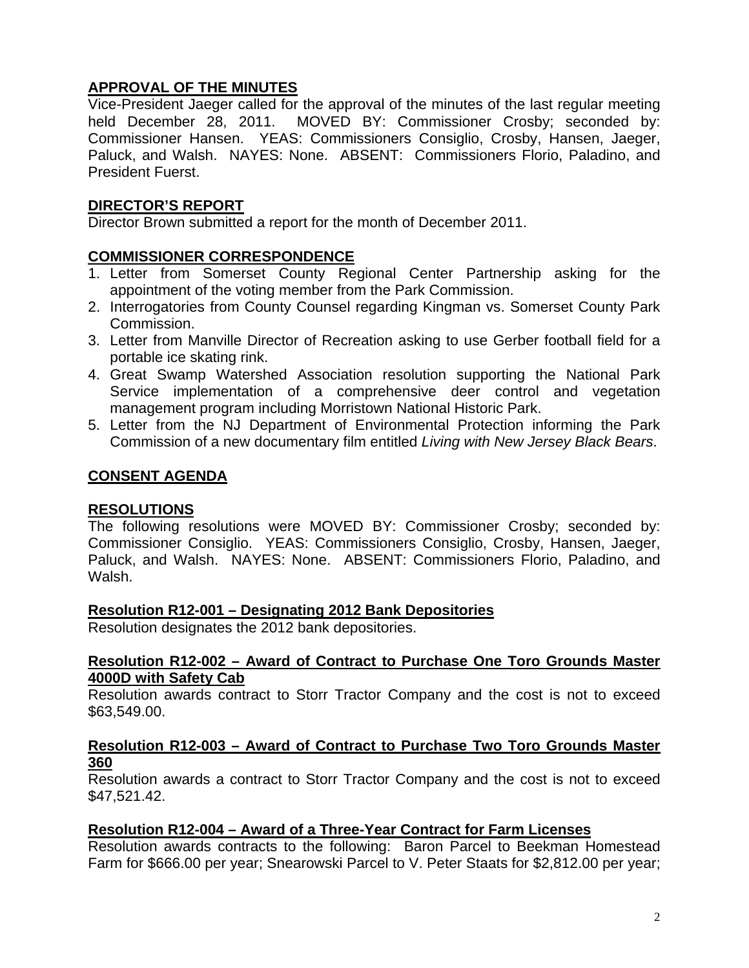# **APPROVAL OF THE MINUTES**

Vice-President Jaeger called for the approval of the minutes of the last regular meeting held December 28, 2011. MOVED BY: Commissioner Crosby; seconded by: Commissioner Hansen. YEAS: Commissioners Consiglio, Crosby, Hansen, Jaeger, Paluck, and Walsh. NAYES: None. ABSENT: Commissioners Florio, Paladino, and President Fuerst.

# **DIRECTOR'S REPORT**

Director Brown submitted a report for the month of December 2011.

# **COMMISSIONER CORRESPONDENCE**

- 1. Letter from Somerset County Regional Center Partnership asking for the appointment of the voting member from the Park Commission.
- 2. Interrogatories from County Counsel regarding Kingman vs. Somerset County Park Commission.
- 3. Letter from Manville Director of Recreation asking to use Gerber football field for a portable ice skating rink.
- 4. Great Swamp Watershed Association resolution supporting the National Park Service implementation of a comprehensive deer control and vegetation management program including Morristown National Historic Park.
- 5. Letter from the NJ Department of Environmental Protection informing the Park Commission of a new documentary film entitled *Living with New Jersey Black Bears*.

# **CONSENT AGENDA**

### **RESOLUTIONS**

The following resolutions were MOVED BY: Commissioner Crosby; seconded by: Commissioner Consiglio. YEAS: Commissioners Consiglio, Crosby, Hansen, Jaeger, Paluck, and Walsh. NAYES: None. ABSENT: Commissioners Florio, Paladino, and Walsh.

### **Resolution R12-001 – Designating 2012 Bank Depositories**

Resolution designates the 2012 bank depositories.

### **Resolution R12-002 – Award of Contract to Purchase One Toro Grounds Master 4000D with Safety Cab**

Resolution awards contract to Storr Tractor Company and the cost is not to exceed \$63,549.00.

## **Resolution R12-003 – Award of Contract to Purchase Two Toro Grounds Master 360**

Resolution awards a contract to Storr Tractor Company and the cost is not to exceed \$47,521.42.

### **Resolution R12-004 – Award of a Three-Year Contract for Farm Licenses**

Resolution awards contracts to the following: Baron Parcel to Beekman Homestead Farm for \$666.00 per year; Snearowski Parcel to V. Peter Staats for \$2,812.00 per year;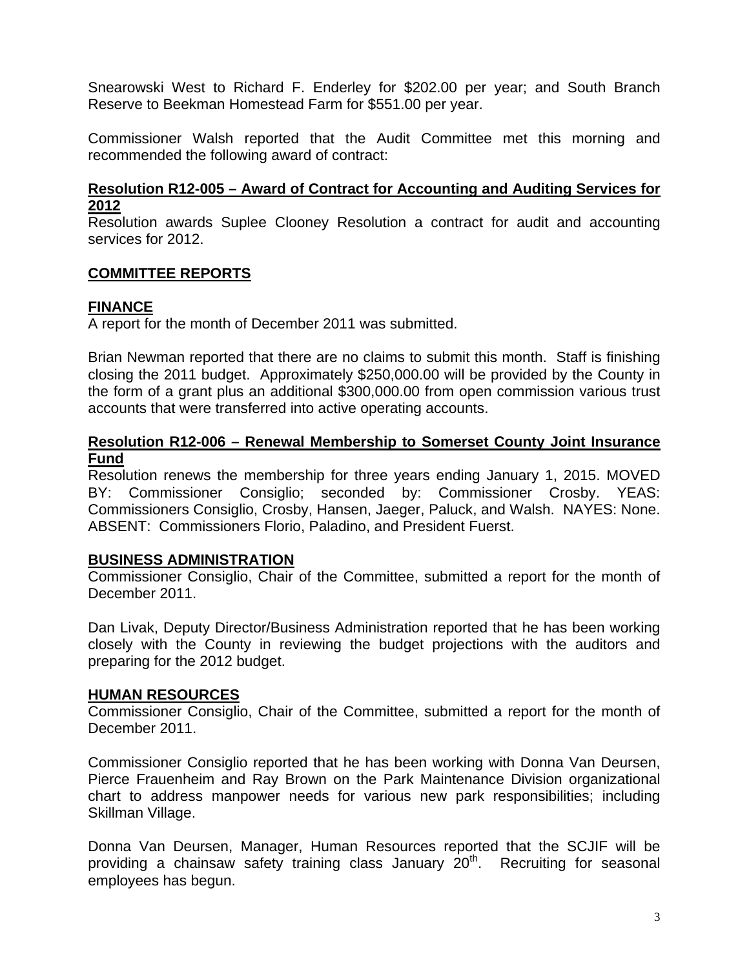Snearowski West to Richard F. Enderley for \$202.00 per year; and South Branch Reserve to Beekman Homestead Farm for \$551.00 per year.

Commissioner Walsh reported that the Audit Committee met this morning and recommended the following award of contract:

#### **Resolution R12-005 – Award of Contract for Accounting and Auditing Services for 2012**

Resolution awards Suplee Clooney Resolution a contract for audit and accounting services for 2012.

## **COMMITTEE REPORTS**

### **FINANCE**

A report for the month of December 2011 was submitted.

Brian Newman reported that there are no claims to submit this month. Staff is finishing closing the 2011 budget. Approximately \$250,000.00 will be provided by the County in the form of a grant plus an additional \$300,000.00 from open commission various trust accounts that were transferred into active operating accounts.

#### **Resolution R12-006 – Renewal Membership to Somerset County Joint Insurance Fund**

Resolution renews the membership for three years ending January 1, 2015. MOVED BY: Commissioner Consiglio; seconded by: Commissioner Crosby. YEAS: Commissioners Consiglio, Crosby, Hansen, Jaeger, Paluck, and Walsh. NAYES: None. ABSENT: Commissioners Florio, Paladino, and President Fuerst.

### **BUSINESS ADMINISTRATION**

Commissioner Consiglio, Chair of the Committee, submitted a report for the month of December 2011.

Dan Livak, Deputy Director/Business Administration reported that he has been working closely with the County in reviewing the budget projections with the auditors and preparing for the 2012 budget.

### **HUMAN RESOURCES**

Commissioner Consiglio, Chair of the Committee, submitted a report for the month of December 2011.

Commissioner Consiglio reported that he has been working with Donna Van Deursen, Pierce Frauenheim and Ray Brown on the Park Maintenance Division organizational chart to address manpower needs for various new park responsibilities; including Skillman Village.

Donna Van Deursen, Manager, Human Resources reported that the SCJIF will be providing a chainsaw safety training class January  $20<sup>th</sup>$ . Recruiting for seasonal employees has begun.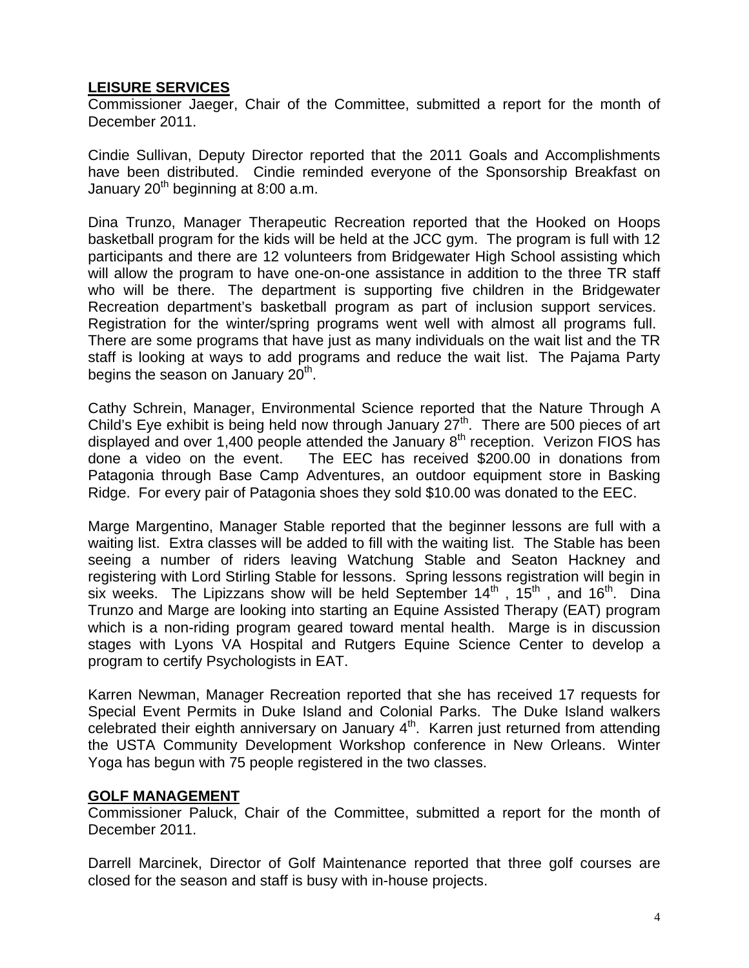## **LEISURE SERVICES**

Commissioner Jaeger, Chair of the Committee, submitted a report for the month of December 2011.

Cindie Sullivan, Deputy Director reported that the 2011 Goals and Accomplishments have been distributed. Cindie reminded everyone of the Sponsorship Breakfast on January  $20<sup>th</sup>$  beginning at 8:00 a.m.

Dina Trunzo, Manager Therapeutic Recreation reported that the Hooked on Hoops basketball program for the kids will be held at the JCC gym. The program is full with 12 participants and there are 12 volunteers from Bridgewater High School assisting which will allow the program to have one-on-one assistance in addition to the three TR staff who will be there. The department is supporting five children in the Bridgewater Recreation department's basketball program as part of inclusion support services. Registration for the winter/spring programs went well with almost all programs full. There are some programs that have just as many individuals on the wait list and the TR staff is looking at ways to add programs and reduce the wait list. The Pajama Party begins the season on January  $20<sup>th</sup>$ .

Cathy Schrein, Manager, Environmental Science reported that the Nature Through A Child's Eye exhibit is being held now through January  $27<sup>th</sup>$ . There are 500 pieces of art displayed and over 1,400 people attended the January  $8<sup>th</sup>$  reception. Verizon FIOS has done a video on the event. The EEC has received \$200.00 in donations from Patagonia through Base Camp Adventures, an outdoor equipment store in Basking Ridge. For every pair of Patagonia shoes they sold \$10.00 was donated to the EEC.

Marge Margentino, Manager Stable reported that the beginner lessons are full with a waiting list. Extra classes will be added to fill with the waiting list. The Stable has been seeing a number of riders leaving Watchung Stable and Seaton Hackney and registering with Lord Stirling Stable for lessons. Spring lessons registration will begin in six weeks. The Lipizzans show will be held September  $14<sup>th</sup>$ ,  $15<sup>th</sup>$ , and  $16<sup>th</sup>$ . Dina Trunzo and Marge are looking into starting an Equine Assisted Therapy (EAT) program which is a non-riding program geared toward mental health. Marge is in discussion stages with Lyons VA Hospital and Rutgers Equine Science Center to develop a program to certify Psychologists in EAT.

Karren Newman, Manager Recreation reported that she has received 17 requests for Special Event Permits in Duke Island and Colonial Parks. The Duke Island walkers celebrated their eighth anniversary on January  $4<sup>th</sup>$ . Karren just returned from attending the USTA Community Development Workshop conference in New Orleans. Winter Yoga has begun with 75 people registered in the two classes.

### **GOLF MANAGEMENT**

Commissioner Paluck, Chair of the Committee, submitted a report for the month of December 2011.

Darrell Marcinek, Director of Golf Maintenance reported that three golf courses are closed for the season and staff is busy with in-house projects.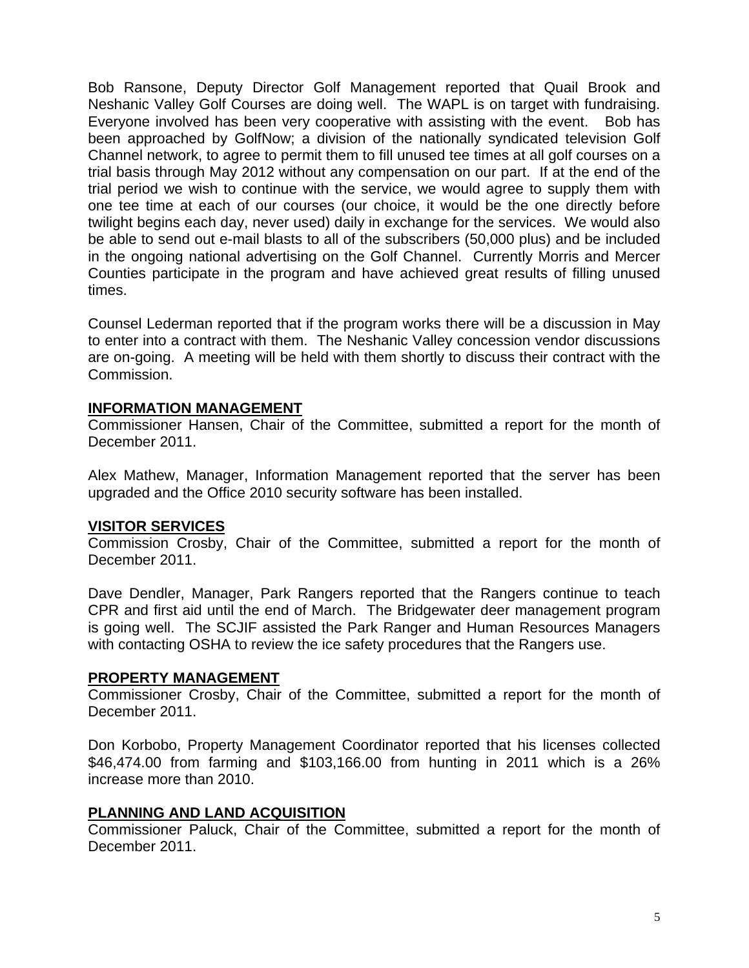Bob Ransone, Deputy Director Golf Management reported that Quail Brook and Neshanic Valley Golf Courses are doing well. The WAPL is on target with fundraising. Everyone involved has been very cooperative with assisting with the event. Bob has been approached by GolfNow; a division of the nationally syndicated television Golf Channel network, to agree to permit them to fill unused tee times at all golf courses on a trial basis through May 2012 without any compensation on our part. If at the end of the trial period we wish to continue with the service, we would agree to supply them with one tee time at each of our courses (our choice, it would be the one directly before twilight begins each day, never used) daily in exchange for the services. We would also be able to send out e-mail blasts to all of the subscribers (50,000 plus) and be included in the ongoing national advertising on the Golf Channel. Currently Morris and Mercer Counties participate in the program and have achieved great results of filling unused times.

Counsel Lederman reported that if the program works there will be a discussion in May to enter into a contract with them. The Neshanic Valley concession vendor discussions are on-going. A meeting will be held with them shortly to discuss their contract with the Commission.

## **INFORMATION MANAGEMENT**

Commissioner Hansen, Chair of the Committee, submitted a report for the month of December 2011.

Alex Mathew, Manager, Information Management reported that the server has been upgraded and the Office 2010 security software has been installed.

### **VISITOR SERVICES**

Commission Crosby, Chair of the Committee, submitted a report for the month of December 2011.

Dave Dendler, Manager, Park Rangers reported that the Rangers continue to teach CPR and first aid until the end of March. The Bridgewater deer management program is going well. The SCJIF assisted the Park Ranger and Human Resources Managers with contacting OSHA to review the ice safety procedures that the Rangers use.

### **PROPERTY MANAGEMENT**

Commissioner Crosby, Chair of the Committee, submitted a report for the month of December 2011.

Don Korbobo, Property Management Coordinator reported that his licenses collected \$46,474.00 from farming and \$103,166.00 from hunting in 2011 which is a 26% increase more than 2010.

### **PLANNING AND LAND ACQUISITION**

Commissioner Paluck, Chair of the Committee, submitted a report for the month of December 2011.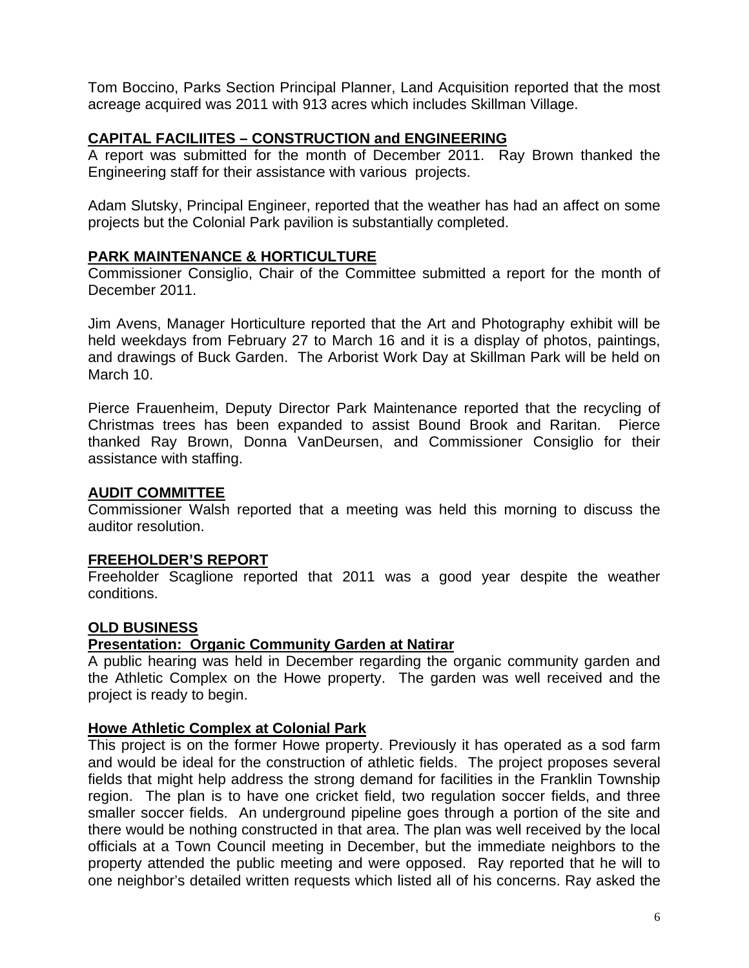Tom Boccino, Parks Section Principal Planner, Land Acquisition reported that the most acreage acquired was 2011 with 913 acres which includes Skillman Village.

# **CAPITAL FACILIITES – CONSTRUCTION and ENGINEERING**

A report was submitted for the month of December 2011. Ray Brown thanked the Engineering staff for their assistance with various projects.

Adam Slutsky, Principal Engineer, reported that the weather has had an affect on some projects but the Colonial Park pavilion is substantially completed.

## **PARK MAINTENANCE & HORTICULTURE**

Commissioner Consiglio, Chair of the Committee submitted a report for the month of December 2011.

Jim Avens, Manager Horticulture reported that the Art and Photography exhibit will be held weekdays from February 27 to March 16 and it is a display of photos, paintings, and drawings of Buck Garden. The Arborist Work Day at Skillman Park will be held on March 10.

Pierce Frauenheim, Deputy Director Park Maintenance reported that the recycling of Christmas trees has been expanded to assist Bound Brook and Raritan. Pierce thanked Ray Brown, Donna VanDeursen, and Commissioner Consiglio for their assistance with staffing.

### **AUDIT COMMITTEE**

Commissioner Walsh reported that a meeting was held this morning to discuss the auditor resolution.

### **FREEHOLDER'S REPORT**

Freeholder Scaglione reported that 2011 was a good year despite the weather conditions.

### **OLD BUSINESS**

### **Presentation: Organic Community Garden at Natirar**

A public hearing was held in December regarding the organic community garden and the Athletic Complex on the Howe property. The garden was well received and the project is ready to begin.

### **Howe Athletic Complex at Colonial Park**

This project is on the former Howe property. Previously it has operated as a sod farm and would be ideal for the construction of athletic fields. The project proposes several fields that might help address the strong demand for facilities in the Franklin Township region. The plan is to have one cricket field, two regulation soccer fields, and three smaller soccer fields. An underground pipeline goes through a portion of the site and there would be nothing constructed in that area. The plan was well received by the local officials at a Town Council meeting in December, but the immediate neighbors to the property attended the public meeting and were opposed. Ray reported that he will to one neighbor's detailed written requests which listed all of his concerns. Ray asked the